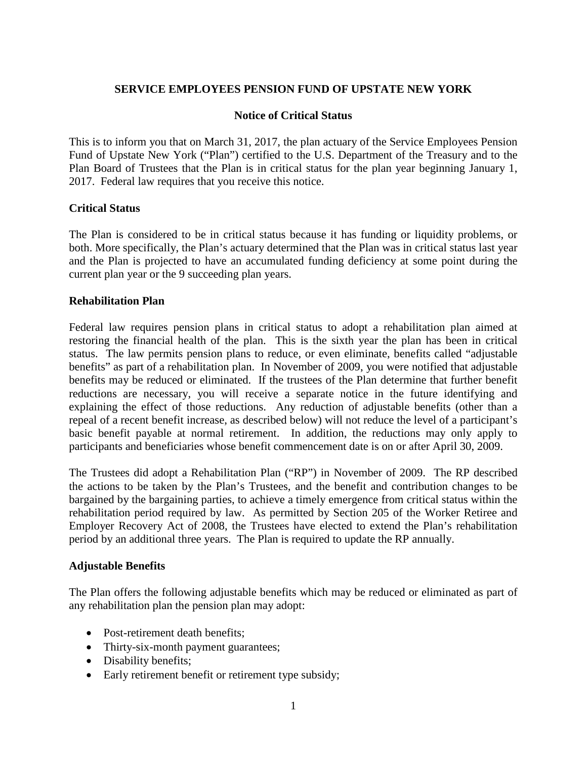# **SERVICE EMPLOYEES PENSION FUND OF UPSTATE NEW YORK**

## **Notice of Critical Status**

This is to inform you that on March 31, 2017, the plan actuary of the Service Employees Pension Fund of Upstate New York ("Plan") certified to the U.S. Department of the Treasury and to the Plan Board of Trustees that the Plan is in critical status for the plan year beginning January 1, 2017. Federal law requires that you receive this notice.

#### **Critical Status**

The Plan is considered to be in critical status because it has funding or liquidity problems, or both. More specifically, the Plan's actuary determined that the Plan was in critical status last year and the Plan is projected to have an accumulated funding deficiency at some point during the current plan year or the 9 succeeding plan years.

#### **Rehabilitation Plan**

Federal law requires pension plans in critical status to adopt a rehabilitation plan aimed at restoring the financial health of the plan. This is the sixth year the plan has been in critical status. The law permits pension plans to reduce, or even eliminate, benefits called "adjustable benefits" as part of a rehabilitation plan. In November of 2009, you were notified that adjustable benefits may be reduced or eliminated. If the trustees of the Plan determine that further benefit reductions are necessary, you will receive a separate notice in the future identifying and explaining the effect of those reductions. Any reduction of adjustable benefits (other than a repeal of a recent benefit increase, as described below) will not reduce the level of a participant's basic benefit payable at normal retirement. In addition, the reductions may only apply to participants and beneficiaries whose benefit commencement date is on or after April 30, 2009.

The Trustees did adopt a Rehabilitation Plan ("RP") in November of 2009. The RP described the actions to be taken by the Plan's Trustees, and the benefit and contribution changes to be bargained by the bargaining parties, to achieve a timely emergence from critical status within the rehabilitation period required by law. As permitted by Section 205 of the Worker Retiree and Employer Recovery Act of 2008, the Trustees have elected to extend the Plan's rehabilitation period by an additional three years. The Plan is required to update the RP annually.

## **Adjustable Benefits**

The Plan offers the following adjustable benefits which may be reduced or eliminated as part of any rehabilitation plan the pension plan may adopt:

- Post-retirement death benefits:
- Thirty-six-month payment guarantees;
- Disability benefits;
- Early retirement benefit or retirement type subsidy;